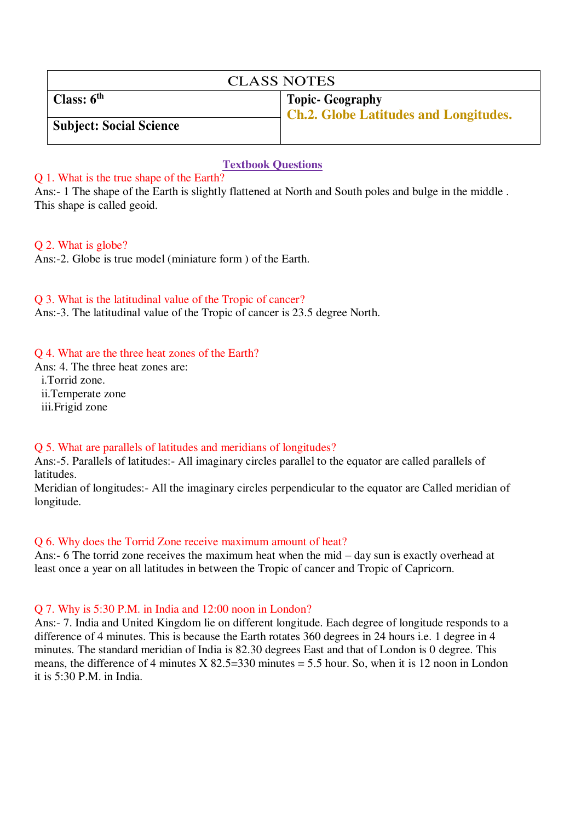| <b>CLASS NOTES</b>             |                                              |  |  |  |
|--------------------------------|----------------------------------------------|--|--|--|
| Class: $6th$                   | Topic- Geography                             |  |  |  |
| <b>Subject: Social Science</b> | <b>Ch.2. Globe Latitudes and Longitudes.</b> |  |  |  |

### **Textbook Questions**

### Q 1. What is the true shape of the Earth?

Ans:- 1 The shape of the Earth is slightly flattened at North and South poles and bulge in the middle . This shape is called geoid.

### Q 2. What is globe?

Ans:-2. Globe is true model (miniature form ) of the Earth.

Q 3. What is the latitudinal value of the Tropic of cancer?

Ans:-3. The latitudinal value of the Tropic of cancer is 23.5 degree North.

#### Q 4. What are the three heat zones of the Earth?

Ans: 4. The three heat zones are: i.Torrid zone. ii.Temperate zone iii.Frigid zone

### Q 5. What are parallels of latitudes and meridians of longitudes?

Ans:-5. Parallels of latitudes:- All imaginary circles parallel to the equator are called parallels of latitudes.

Meridian of longitudes:- All the imaginary circles perpendicular to the equator are Called meridian of longitude.

### Q 6. Why does the Torrid Zone receive maximum amount of heat?

Ans:- 6 The torrid zone receives the maximum heat when the mid – day sun is exactly overhead at least once a year on all latitudes in between the Tropic of cancer and Tropic of Capricorn.

### Q 7. Why is 5:30 P.M. in India and 12:00 noon in London?

Ans:- 7. India and United Kingdom lie on different longitude. Each degree of longitude responds to a difference of 4 minutes. This is because the Earth rotates 360 degrees in 24 hours i.e. 1 degree in 4 minutes. The standard meridian of India is 82.30 degrees East and that of London is 0 degree. This means, the difference of 4 minutes  $X \, 82.5 = 330$  minutes  $= 5.5$  hour. So, when it is 12 noon in London it is 5:30 P.M. in India.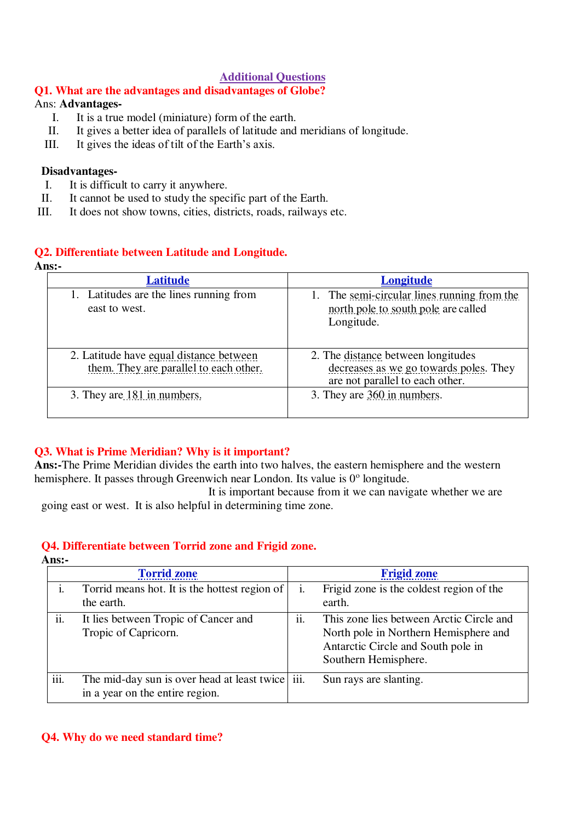## **Additional Questions**

# **Q1. What are the advantages and disadvantages of Globe?**

# Ans: **Advantages-**

- I. It is a true model (miniature) form of the earth.
- II. It gives a better idea of parallels of latitude and meridians of longitude.<br>III. It gives the ideas of tilt of the Earth's axis.
- It gives the ideas of tilt of the Earth's axis.

# **Disadvantages-**

- I. It is difficult to carry it anywhere.
- II. It cannot be used to study the specific part of the Earth.
- III. It does not show towns, cities, districts, roads, railways etc.

# **Q2. Differentiate between Latitude and Longitude.**

| Ans: |  |  |
|------|--|--|
|      |  |  |

| <b>Latitude</b>                                                                   | <u>Longitude</u>                                                                                                |
|-----------------------------------------------------------------------------------|-----------------------------------------------------------------------------------------------------------------|
| 1. Latitudes are the lines running from<br>east to west.                          | The semi-circular lines running from the<br>north pole to south pole are called<br>Longitude.                   |
| 2. Latitude have equal distance between<br>them. They are parallel to each other. | 2. The distance between longitudes<br>decreases as we go towards poles. They<br>are not parallel to each other. |
| 3. They are 181 in numbers.                                                       | 3. They are 360 in numbers.                                                                                     |

## **Q3. What is Prime Meridian? Why is it important?**

**Ans:-**The Prime Meridian divides the earth into two halves, the eastern hemisphere and the western hemisphere. It passes through Greenwich near London. Its value is 0° longitude.

 It is important because from it we can navigate whether we are going east or west. It is also helpful in determining time zone.

## **Q4. Differentiate between Torrid zone and Frigid zone.**

**Ans:-** 

|      | <b>Torrid zone</b>                                                                  |     | <b>Frigid zone</b>                                                                                                                              |
|------|-------------------------------------------------------------------------------------|-----|-------------------------------------------------------------------------------------------------------------------------------------------------|
|      | Torrid means hot. It is the hottest region of<br>the earth.                         | i.  | Frigid zone is the coldest region of the<br>earth.                                                                                              |
| ii.  | It lies between Tropic of Cancer and<br>Tropic of Capricorn.                        | ii. | This zone lies between Arctic Circle and<br>North pole in Northern Hemisphere and<br>Antarctic Circle and South pole in<br>Southern Hemisphere. |
| iii. | The mid-day sun is over head at least twice iii.<br>in a year on the entire region. |     | Sun rays are slanting.                                                                                                                          |

### **Q4. Why do we need standard time?**